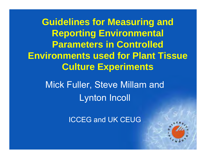**The GM Deporting Environmental Environments used for Plant Tissue Guidelines for Measuring and Parameters in Controlled Culture Experiments**

Mick Fuller, Steve Millam and Lynton Incoll

ICCEG and UK CEUG

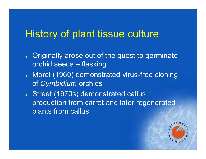## History of plant tissue culture

- . Originally arose out of the quest to germinate orchid seeds – flasking
- **J.** Morel (1960) demonstrated virus-free cloning of *Cymbidium* orchids
- Street (1970s) demonstrated callus production from carrot and later regenerated plants from callus

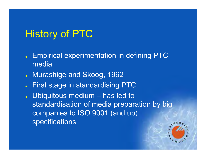# History of PTC

- **Empirical experimentation in defining PTC** media
- **JREE Murashige and Skoog, 1962**
- $\bullet$ First stage in standardising PTC
- $\ddot{\bullet}$ Ubiquitous medium – has led to standardisation of media preparation by big companies to ISO 9001 (and up) specifications

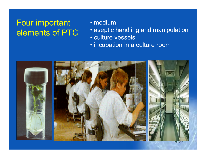#### Four important elements of PTC

#### • medium

- aseptic handling and manipulation
- culture vessels
- incubation in a culture room

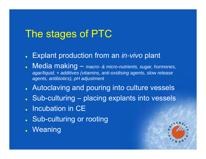# The stages of PTC

#### $\bullet$ Explant production from an *in-vivo* plant

- $\bullet$  Media making – *macro- & micro-nutrients, sugar, hormones, agar/liquid, + additives (vitamins, anti-oxidising agents, slow release agents, antibiotics), pH adjustment*
- **J.** Autoclaving and pouring into culture vessels
- $\bullet$ Sub-culturing – placing explants into vessels
- **Julie 10 Incubation in CE**
- **Sub-culturing or rooting**
- **.** Weaning

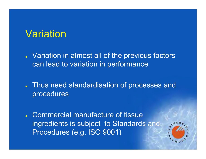## Variation

- Variation in almost all of the previous factors can lead to variation in performance
- . Thus need standardisation of processes and procedures
- **J.** Commercial manufacture of tissue ingredients is subject to Standards and Procedures (e.g. ISO 9001)

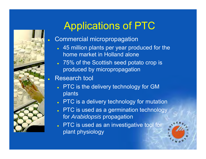

 $\bullet$ 

# Applications of PTC

#### Commercial micropropagation

- 45 million plants per year produced for the home market in Holland alone
- 75% of the Scottish seed potato crop is produced by micropropagation

#### $\bullet$ Research tool

- . PTC is the delivery technology for GM plants
- $\bullet\,$  PTC is a delivery technology for mutation
- . PTC is used as a germination technology for *Arabidopsis* propagation
- $\blacksquare$  PTC is used as an investigative tool for plant physiology

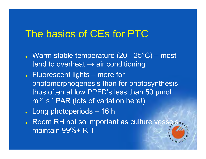### The basics of CEs for PTC

- Warm stable temperature (20 25 $^{\circ}$ C) most tend to overheat  $\rightarrow$  air conditioning
- **Fluorescent lights more for** photomorphogenesis than for photosynthesis thus often at low PPFD's less than 50 µmol m-<sup>2</sup> s-1 PAR (lots of variation here!)
- z Long photoperiods 16 h
- $\ddot{\bullet}$  Room RH not so important as culture vessels maintain 99%+ RH

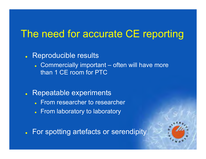## The need for accurate CE reporting

#### • Reproducible results

- Commercially important often will have more than 1 CE room for PTC
- $\bullet$  Repeatable experiments
	- $\bullet$ From researcher to researcher
	- From laboratory to laboratory

 $\bullet$ For spotting artefacts or serendipity

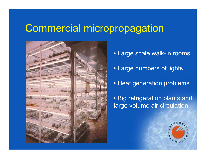### Commercial micropropagation



- Large scale walk-in rooms
- Large numbers of lights
- Heat generation problems

• Big refrigeration plants and large volume air circulation

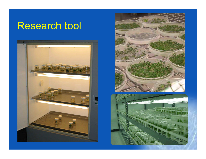## Research tool





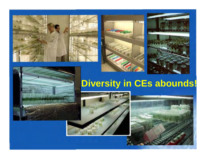





# **Diversity in CEs abounds!**



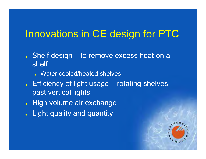## Innovations in CE design for PTC

- Shelf design to remove excess heat on a shelf
	- Water cooled/heated shelves
- Efficiency of light usage rotating shelves past vertical lights
- $\bullet$ High volume air exchange
- $\bullet$ Light quality and quantity

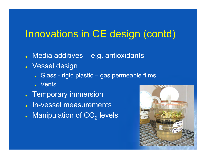# Innovations in CE design (contd)

- $\bullet$ Media additives – e.g. antioxidants
- Vessel design
	- Glass rigid plastic gas permeable films
	- Vents
- **Temporary immersion**
- $\bullet$ In-vessel measurements
- $\bullet$  $\centerdot$  Manipulation of CO $_2$  levels

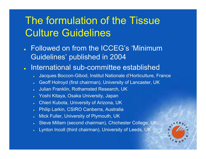# The formulation of the Tissue Culture Guidelines

- $\ddot{\phantom{a}}$  Followed on from the ICCEG's 'Minimum Guidelines' published in 2004
- $\ddot{\bullet}$  International sub-committee established
	- c Jacques Boccon-Gibod, Institut Nationale d'Horticulture, France
	- **z** Geoff Holroyd (first chairman), University of Lancaster, UK
	- c Julian Franklin, Rothamsted Research, UK
	- c Yoshi Kitaya, Osaka University, Japan
	- **z** Chieri Kubota, University of Arizona, UK
	- c Philip Larkin, CSIRO Canberra, Australia
	- c Mick Fuller, University of Plymouth, UK
	- c Steve Millam (second chairman), Chichester College, UK
	- c Lynton Incoll (third chairman), University of Leeds, UK

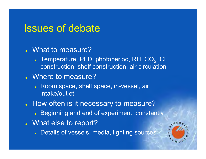### Issues of debate

- What to measure?
	- **Temperature, PFD, photoperiod, RH, CO<sub>2</sub>, CE** construction, shelf construction, air circulation
- Where to measure?
	- Room space, shelf space, in-vessel, air intake/outlet
- . How often is it necessary to measure?
	- **Beginning and end of experiment, constantly**
- . What else to report?
	- **Details of vessels, media, lighting sources**

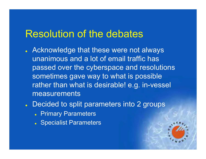#### Resolution of the debates

- **Acknowledge that these were not always** unanimous and a lot of email traffic has passed over the cyberspace and resolutions sometimes gave way to what is possible rather than what is desirable! e.g. in-vessel measurements
- **Januarie 2 Secondary Concretation Concretive Concretion Concretion Concretion Concretion Concretion Concretion Concretion Concretion Concretion Concretion Concretion Concretion Concretion Concretion Concretion Concretion** 
	- **Primary Parameters**
	- **Specialist Parameters**

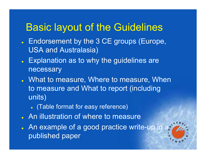### Basic layout of the Guidelines

- . Endorsement by the 3 CE groups (Europe, USA and Australasia)
- Explanation as to why the guidelines are necessary
- What to measure, Where to measure, When to measure and What to report (including units)
	- $\bullet$ (Table format for easy reference)
- **July** An illustration of where to measure
- $\blacksquare$  An example of a good practice write-up in a published paper

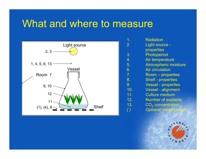## What and where to measure



| $\mathbf 1$ .    | <b>Radiation</b>            |
|------------------|-----------------------------|
| $\overline{2}$ . | Light source -              |
|                  | properties                  |
| 3.               | Photoperiod                 |
| 4.               | Air temperature             |
| 5.               | <b>Atmospheric moisture</b> |
| 6.               | <b>Air circulation</b>      |
| $\overline{7}$ . | <b>Room</b> – properties    |
| 8.               | <b>Shelf - properties</b>   |
| 9.               | <b>Vessel - properties</b>  |
| 10.              | <b>Vessel - alignment</b>   |
| 11.              | <b>Culture medium</b>       |
| 12.              | <b>Number of explants</b>   |
| 13.              | $CO2$ concentration         |
|                  | <b>Optional measurement</b> |
|                  |                             |

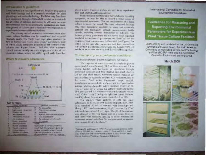#### introduction to guidelines.

Time culture is a very significant tool for plant propagation and bushchmings and it a research technique for plant physiology and wellwolar hiddegy. Facilities yary from lowaudi optigenen mengh effishe-shelf incubators to state-ofthough values of cubiness and rooms. In all cases, accurate chairmental records are pursually to strategies and maskwas growth of cultures and to facilitate vehicle replication of experiments between different facilities.

The primary critical partimeters common to most plant tissae colture facilities can be membered and recorded relatively easily. The Table toyer page) gives guidance on haw to monder and recent these principy parameters, most of which ideally should be monitored at the location of the cultures (see Figure helioe). Facilities with automatic control systems minally measure temperature at the air recirculation intoke, which can differ significantly from that

#### Wriete to measure parameters



#### **Key to Heuret**

|   | <b><i>Francis surfamence</i></b>      | <b>GIVERNAL DANNA VAL</b>            |                                             |  |  |
|---|---------------------------------------|--------------------------------------|---------------------------------------------|--|--|
|   | <b>Europe</b>                         | н                                    | Air third staffets                          |  |  |
|   | <b>Law Assets</b><br>AROUND TAKE      | 15                                   | <b><i><u>Amsengivence</u></i></b> ministanc |  |  |
|   | <b><i><u>I Wallen e russi</u></i></b> | <b>ID</b>                            | <b>Hatels</b>                               |  |  |
|   | <b>An American</b>                    | в                                    | Spectral christings in of radiation         |  |  |
|   | <b>Billian and Contract</b>           | 糧                                    | <b>CO.</b> and a matricial                  |  |  |
|   | <b>R.H. Montage Law 10</b>            | 昨                                    | An endorperatorit erradi-                   |  |  |
|   |                                       |                                      | A. e california                             |  |  |
|   | <b>Hard of Acres</b>                  |                                      | <b>Salar</b>                                |  |  |
|   | <b>WalterCl - Miland Text</b>         | their treat was close to preside to  |                                             |  |  |
| h | <b>The ATT CAR STATE</b>              | to at dail. Veral level - above tur- |                                             |  |  |
|   | <b>COMPANY</b> PRINT, NY              | to them as manifest to has a well-   |                                             |  |  |
| a | <b>COMMERCIAL CARDS</b>               |                                      | Newslett parameters 13 to 19 art            |  |  |
|   | <b>COLUMNS CONTR</b>                  | <b>DESCRIPTION OF STATISTICS</b>     |                                             |  |  |

above a shelf. If acveral shelves are used in an experiment. then each shelf-should be monitored.

Many research facilities have more cluborate recording aquipment, or may be able to renard a wider comes of experiencial parameters. The real invitament of a Numer culture is neithe the vessel. The most advanted facilities may have resignerst available to carry out experiely detailed and technically citiball measurements inside vessels, radading spectral distribution of radiation. The thirteen primary parameters and the seven indut important. specialist environmental parameters are aboutfied and the location of their measurement is illustrated free Pigure). For details on the specialist parameters and their interactions. with primary parameters see Fujiwani and Kozul (1995) 1. If specialist parameters are massured they should be sepreted.

#### How to report your experimental conditions

Here is an example of a report squable for publication:

The experiment was conducted in a walk-to-growthroom (mixle), manufactured (11.2 m2 floor and null 2.1 m. celling beight), with borizontal air circulation throughperformed sidescalls and from marked steel-mesh shelves. (34 ny total shelf space). Sufficient quality make-up up was provided to maintain ambient CO, exponentions in the same. Cavil white Buerescent lange unodel. manufacturer) mounted 40 cm above took shall provided an average photosynfactically active miliation (PAR) at 50. (e.d. 2) unot m2 a3 above the culture ventels during the 16-h promoperied. Air temperature above the culture vessels Was 25/20 (s.d. 41)<sup>o</sup>C during the light that period. Relative lumidity above the culture vossels was 67 (s.d. ±10)%.

Ten manifety were cultured in 200 mL glass Erlenmeyer flasks sealed with translucent plastic flim. Each those contribed 40 ml. of medium with Muniships and Skrog (1962) hasal components, 30 g 1. < across, 5 g L<sup>4</sup> of activand charceal and 8 g L | ngar. The pH of the mediant was adjusted to 5.8. The flasks were in a single boyer out each shelf with sufficient special to allies adequate arminimum around juck flask. No environmental necessary were recorded inside the flasks."

Trainews, E. and Kager, E. (1995) Physical measurements and incitizen p. 116-300 hr. J. Anken-Citizen, J. Kinas and MAL. Smithtalist Armentaire and Environmental Control in Phase Tierre Calum-Karen Academic Publishers, Gendezhi, Methedardo

#### International Committee for Controlled Environment Guidelines

Guidelines for Measuring and **Reporting Environmental** Parameters for Experiments in **Plant Tissue Culture Facilities** 

Sponsored by and published for the UK Controlled Environment Useria: Group, the North American Committee on Controlled Environment Technology and Use (NCERA-101), and the Australasian Controlled Environment Working Group

#### **March 2008**

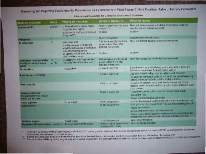Measuring and Reporting Environmental Parameters for Experiments in Plant Tissue Culture Facilities: Table of Primary Parameters

| What in measure.                                                                           | <b>Units</b>              | Where to measure                                                                                                                                                          | When to measure                                                                                        | What to report                                                                                                                                                                                                                                                                           |
|--------------------------------------------------------------------------------------------|---------------------------|---------------------------------------------------------------------------------------------------------------------------------------------------------------------------|--------------------------------------------------------------------------------------------------------|------------------------------------------------------------------------------------------------------------------------------------------------------------------------------------------------------------------------------------------------------------------------------------------|
| Radiation (PART)                                                                           | und est gr                | a) Mivessel evel at uniform helpid<br>tragrat (See Figure)<br>b) Optenal, at shall level, at terms of<br>ently shell                                                      | At what of committees, and were<br>4 minute ("")<br><b>As game</b>                                     | Mean and standard deviation. Radiation spusces involving and<br>nerubetast and detence from avelli<br>As above                                                                                                                                                                           |
| <b>Photogerine</b>                                                                         |                           |                                                                                                                                                                           | At part of niceriment                                                                                  | Duration of light and dark penedic                                                                                                                                                                                                                                                       |
| Air tamperature                                                                            | "C                        | ALAY YESSEY LEVEL<br>Location of sereor is crucial and<br>should be independent of the facility's<br>lemperature.commit.genser<br>b) Octoral at shelt level, at centra of | Daily during each light and dark.<br>period at least 1 hour after<br>Igitetark environment<br>As abuve | Menn and attantiers deviation for light and cash prejudy.<br>As spotte                                                                                                                                                                                                                   |
|                                                                                            |                           | shelf, cutside container                                                                                                                                                  |                                                                                                        |                                                                                                                                                                                                                                                                                          |
| <b>Atministrantic moleture (relative</b><br>humldity or vapour pressure                    | ×<br>$0$ ri <sub>72</sub> | At vessel lavel and Excepander its at-<br>the facility's humistiy control sensor                                                                                          | Daily maing each light and dark<br>period, at least 1 hour after<br><b>Tichbdark changeswere</b>       | Mare and standard deviation for light and dark pursuits.                                                                                                                                                                                                                                 |
| senciti.<br>Air or culation                                                                |                           | At vessel level                                                                                                                                                           | At sure, of experiment                                                                                 | Record whether perforated shelves, walk, culling, Topr or ducts, and<br>horizontal or vartical flow. Record source of fresh al-                                                                                                                                                          |
| Room or cabinet properties                                                                 |                           |                                                                                                                                                                           | At start of experiment.                                                                                | Stze (floor wearm? celling height in) and type (walk livineach in)<br>Variatedurer and model if systable, indicate if it has special features c.g.<br>rataing shakes, light reflectors, bottom cooling of shelver.                                                                       |
| Shelf proporties                                                                           |                           |                                                                                                                                                                           | At sure of experiment                                                                                  | Area (m), type (said or meen, stock, woud or transparent), number<br>relacked, not stacked) and construction. Note if shelves are bottom powed<br>by air ur water                                                                                                                        |
| <b>Vessel specifications</b><br>to appreciated make use of<br>mission energy free Annances |                           |                                                                                                                                                                           | At idad of poperintmit                                                                                 | Types (flasks, dicket, bottles; jars) and materials (glies), plastic).<br><b>Shelvolume (Inc.)</b><br>Desure lyce and relifficial pasker result                                                                                                                                          |
| <b><i>STRYTING MARKET</i></b>                                                              |                           | Do pack shall                                                                                                                                                             | 310mlogiia le Fate (A)                                                                                 | Number of vessels and rumber of layers (it vessels are stacked) por shut-                                                                                                                                                                                                                |
| <b>Culture madium</b>                                                                      |                           |                                                                                                                                                                           | Alizancie po men                                                                                       | Solel get or used or combinators' Tips and make of using agest pH.<br>Volume per located (mL)<br>Niveral compositors (III) and in item-turning<br>Carbon studie, greathingsliders, wherein and that commencing and<br>whether influent carbon and circle additional experience in it was |
| <b>Runder of explorits</b>                                                                 |                           | In each years.                                                                                                                                                            | At your of argorizeral                                                                                 | learned number of explaints                                                                                                                                                                                                                                                              |
| I komunistische enternehmen und mehr                                                       |                           | At young level of partie planet                                                                                                                                           | Daty Subsidiar CO2 environment<br>in autofact of this Banks.                                           | <b>Many and attached deviation</b>                                                                                                                                                                                                                                                       |

International Committee for Controlled Environment Guidelines

Referred to an aholitay chatically active radiation (PAR: 400-700 nm) for general usage and described as photosynthetic photos flux density (PPFD) by many journals, professional scores and manufacturers of qualities sensors.

if lamps are arranged at the back of the shelf rather than above the shelf this should be stated and PAR measured at the back and the front of an entity sholf

" Fluorecers largo efficiency declines significantly within weeks of recellation and gradually thereafter and such lamps therefore require a regular monitoring and recverement programme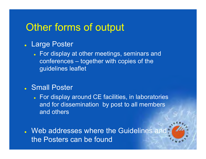## Other forms of output

#### **Large Poster**

• For display at other meetings, seminars and conferences – together with copies of the guidelines leaflet

#### **Joseph Small Poster**

- For display around CE facilities, in laboratories and for dissemination by post to all members and others
- **J.** Web addresses where the Guidelines and the Posters can be found

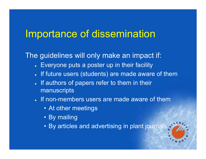## Importance of dissemination

#### The guidelines will only make an impact if:

- Everyone puts a poster up in their facility
- $\bullet$ If future users (students) are made aware of them
- $\bullet$ If authors of papers refer to them in their manuscripts
- If non-members users are made aware of them
	- At other meetings
	- By mailing
	- By articles and advertising in plant journals

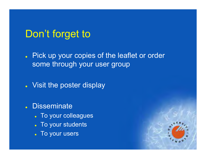## Don't forget to

. Pick up your copies of the leaflet or order some through your user group

- Visit the poster display
- **z Disseminate** 
	- To your colleagues
	- $\bullet$ To your students
	- $\bullet$ To your users